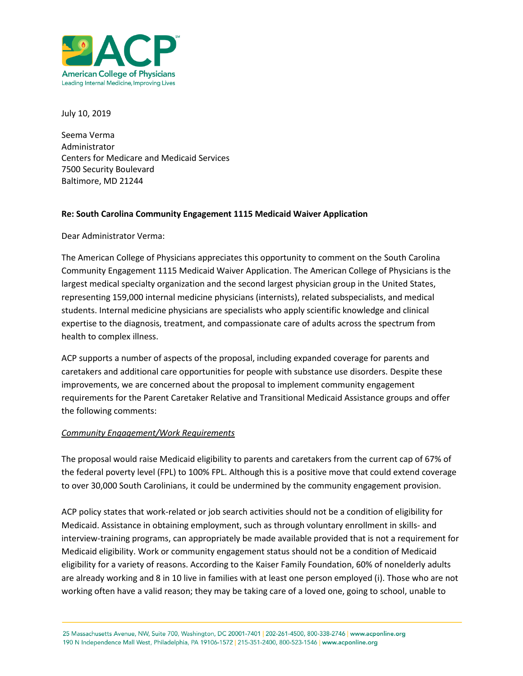

July 10, 2019

Seema Verma Administrator Centers for Medicare and Medicaid Services 7500 Security Boulevard Baltimore, MD 21244

## **Re: South Carolina Community Engagement 1115 Medicaid Waiver Application**

Dear Administrator Verma:

The American College of Physicians appreciates this opportunity to comment on the South Carolina Community Engagement 1115 Medicaid Waiver Application. The American College of Physicians is the largest medical specialty organization and the second largest physician group in the United States, representing 159,000 internal medicine physicians (internists), related subspecialists, and medical students. Internal medicine physicians are specialists who apply scientific knowledge and clinical expertise to the diagnosis, treatment, and compassionate care of adults across the spectrum from health to complex illness.

ACP supports a number of aspects of the proposal, including expanded coverage for parents and caretakers and additional care opportunities for people with substance use disorders. Despite these improvements, we are concerned about the proposal to implement community engagement requirements for the Parent Caretaker Relative and Transitional Medicaid Assistance groups and offer the following comments:

## *Community Engagement/Work Requirements*

The proposal would raise Medicaid eligibility to parents and caretakers from the current cap of 67% of the federal poverty level (FPL) to 100% FPL. Although this is a positive move that could extend coverage to over 30,000 South Carolinians, it could be undermined by the community engagement provision.

ACP policy states that work-related or job search activities should not be a condition of eligibility for Medicaid. Assistance in obtaining employment, such as through voluntary enrollment in skills- and interview-training programs, can appropriately be made available provided that is not a requirement for Medicaid eligibility. Work or community engagement status should not be a condition of Medicaid eligibility for a variety of reasons. According to the Kaiser Family Foundation, 60% of nonelderly adults are already working and 8 in 10 live in families with at least one person employed (i). Those who are not working often have a valid reason; they may be taking care of a loved one, going to school, unable to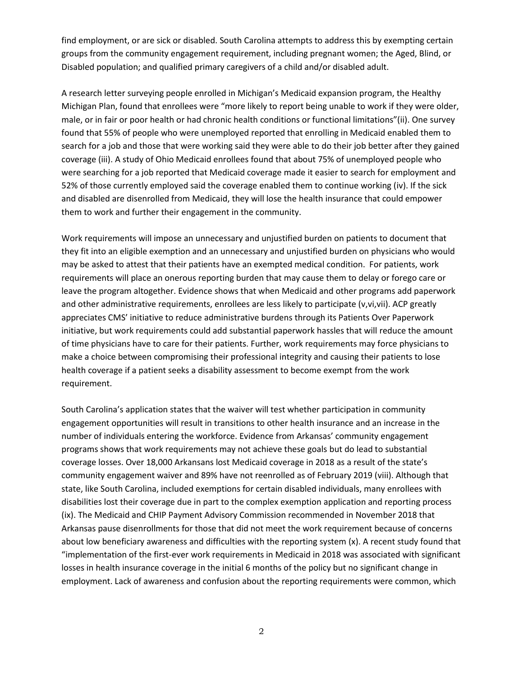find employment, or are sick or disabled. South Carolina attempts to address this by exempting certain groups from the community engagement requirement, including pregnant women; the Aged, Blind, or Disabled population; and qualified primary caregivers of a child and/or disabled adult.

A research letter surveying people enrolled in Michigan's Medicaid expansion program, the Healthy Michigan Plan, found that enrollees were "more likely to report being unable to work if they were older, male, or in fair or poor health or had chronic health conditions or functional limitations"(ii). One survey found that 55% of people who were unemployed reported that enrolling in Medicaid enabled them to search for a job and those that were working said they were able to do their job better after they gained coverage (iii). A study of Ohio Medicaid enrollees found that about 75% of unemployed people who were searching for a job reported that Medicaid coverage made it easier to search for employment and 52% of those currently employed said the coverage enabled them to continue working (iv). If the sick and disabled are disenrolled from Medicaid, they will lose the health insurance that could empower them to work and further their engagement in the community.

Work requirements will impose an unnecessary and unjustified burden on patients to document that they fit into an eligible exemption and an unnecessary and unjustified burden on physicians who would may be asked to attest that their patients have an exempted medical condition. For patients, work requirements will place an onerous reporting burden that may cause them to delay or forego care or leave the program altogether. Evidence shows that when Medicaid and other programs add paperwork and other administrative requirements, enrollees are less likely to participate (v,vi,vii). ACP greatly appreciates CMS' initiative to reduce administrative burdens through its Patients Over Paperwork initiative, but work requirements could add substantial paperwork hassles that will reduce the amount of time physicians have to care for their patients. Further, work requirements may force physicians to make a choice between compromising their professional integrity and causing their patients to lose health coverage if a patient seeks a disability assessment to become exempt from the work requirement.

South Carolina's application states that the waiver will test whether participation in community engagement opportunities will result in transitions to other health insurance and an increase in the number of individuals entering the workforce. Evidence from Arkansas' community engagement programs shows that work requirements may not achieve these goals but do lead to substantial coverage losses. Over 18,000 Arkansans lost Medicaid coverage in 2018 as a result of the state's community engagement waiver and 89% have not reenrolled as of February 2019 (viii). Although that state, like South Carolina, included exemptions for certain disabled individuals, many enrollees with disabilities lost their coverage due in part to the complex exemption application and reporting process (ix). The Medicaid and CHIP Payment Advisory Commission recommended in November 2018 that Arkansas pause disenrollments for those that did not meet the work requirement because of concerns about low beneficiary awareness and difficulties with the reporting system (x). A recent study found that "implementation of the first-ever work requirements in Medicaid in 2018 was associated with significant losses in health insurance coverage in the initial 6 months of the policy but no significant change in employment. Lack of awareness and confusion about the reporting requirements were common, which